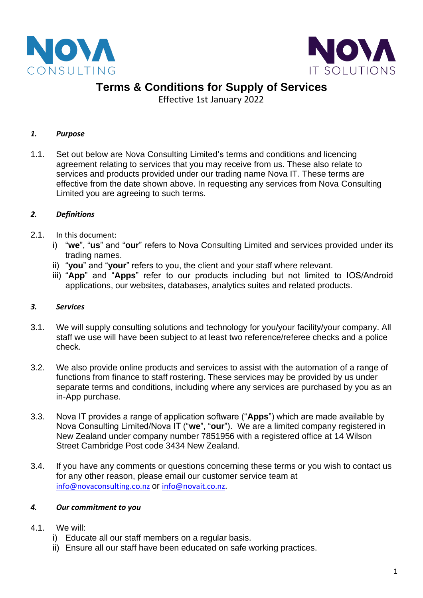



## **Terms & Conditions for Supply of Services**

Effective 1st January 2022

## *1. Purpose*

1.1. Set out below are Nova Consulting Limited's terms and conditions and licencing agreement relating to services that you may receive from us. These also relate to services and products provided under our trading name Nova IT. These terms are effective from the date shown above. In requesting any services from Nova Consulting Limited you are agreeing to such terms.

## *2. Definitions*

- 2.1. In this document:
	- i) "**we**", "**us**" and "**our**" refers to Nova Consulting Limited and services provided under its trading names.
	- ii) "**you**" and "**your**" refers to you, the client and your staff where relevant.
	- iii) "**App**" and "**Apps**" refer to our products including but not limited to IOS/Android applications, our websites, databases, analytics suites and related products.

#### *3. Services*

- 3.1. We will supply consulting solutions and technology for you/your facility/your company. All staff we use will have been subject to at least two reference/referee checks and a police check.
- 3.2. We also provide online products and services to assist with the automation of a range of functions from finance to staff rostering. These services may be provided by us under separate terms and conditions, including where any services are purchased by you as an in-App purchase.
- 3.3. Nova IT provides a range of application software ("**Apps**") which are made available by Nova Consulting Limited/Nova IT ("**we**", "**our**"). We are a limited company registered in New Zealand under company number 7851956 with a registered office at 14 Wilson Street Cambridge Post code 3434 New Zealand.
- 3.4. If you have any comments or questions concerning these terms or you wish to contact us for any other reason, please email our customer service team at [info@novaconsulting.co.nz](mailto:info@novaconsulting.co.nz) or [info@novait.co.nz.](mailto:info@novait.co.nz)

#### *4. Our commitment to you*

- 4.1. We will:
	- i) Educate all our staff members on a regular basis.
	- ii) Ensure all our staff have been educated on safe working practices.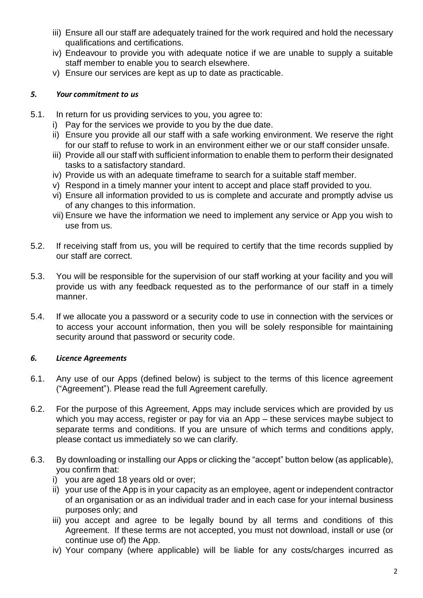- iii) Ensure all our staff are adequately trained for the work required and hold the necessary qualifications and certifications.
- iv) Endeavour to provide you with adequate notice if we are unable to supply a suitable staff member to enable you to search elsewhere.
- v) Ensure our services are kept as up to date as practicable.

#### *5. Your commitment to us*

- 5.1. In return for us providing services to you, you agree to:
	- i) Pay for the services we provide to you by the due date.
	- ii) Ensure you provide all our staff with a safe working environment. We reserve the right for our staff to refuse to work in an environment either we or our staff consider unsafe.
	- iii) Provide all our staff with sufficient information to enable them to perform their designated tasks to a satisfactory standard.
	- iv) Provide us with an adequate timeframe to search for a suitable staff member.
	- v) Respond in a timely manner your intent to accept and place staff provided to you.
	- vi) Ensure all information provided to us is complete and accurate and promptly advise us of any changes to this information.
	- vii) Ensure we have the information we need to implement any service or App you wish to use from us.
- 5.2. If receiving staff from us, you will be required to certify that the time records supplied by our staff are correct.
- 5.3. You will be responsible for the supervision of our staff working at your facility and you will provide us with any feedback requested as to the performance of our staff in a timely manner.
- 5.4. If we allocate you a password or a security code to use in connection with the services or to access your account information, then you will be solely responsible for maintaining security around that password or security code.

#### *6. Licence Agreements*

- 6.1. Any use of our Apps (defined below) is subject to the terms of this licence agreement ("Agreement"). Please read the full Agreement carefully.
- 6.2. For the purpose of this Agreement, Apps may include services which are provided by us which you may access, register or pay for via an App – these services maybe subject to separate terms and conditions. If you are unsure of which terms and conditions apply, please contact us immediately so we can clarify.
- 6.3. By downloading or installing our Apps or clicking the "accept" button below (as applicable), you confirm that:
	- i) you are aged 18 years old or over;
	- ii) your use of the App is in your capacity as an employee, agent or independent contractor of an organisation or as an individual trader and in each case for your internal business purposes only; and
	- iii) you accept and agree to be legally bound by all terms and conditions of this Agreement. If these terms are not accepted, you must not download, install or use (or continue use of) the App.
	- iv) Your company (where applicable) will be liable for any costs/charges incurred as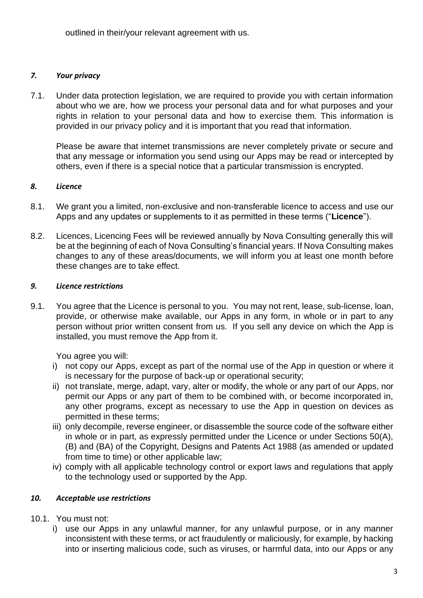outlined in their/your relevant agreement with us.

## *7. Your privacy*

7.1. Under data protection legislation, we are required to provide you with certain information about who we are, how we process your personal data and for what purposes and your rights in relation to your personal data and how to exercise them. This information is provided in our privacy policy and it is important that you read that information.

Please be aware that internet transmissions are never completely private or secure and that any message or information you send using our Apps may be read or intercepted by others, even if there is a special notice that a particular transmission is encrypted.

## *8. Licence*

- 8.1. We grant you a limited, non-exclusive and non-transferable licence to access and use our Apps and any updates or supplements to it as permitted in these terms ("**Licence**").
- 8.2. Licences, Licencing Fees will be reviewed annually by Nova Consulting generally this will be at the beginning of each of Nova Consulting's financial years. If Nova Consulting makes changes to any of these areas/documents, we will inform you at least one month before these changes are to take effect.

#### *9. Licence restrictions*

9.1. You agree that the Licence is personal to you. You may not rent, lease, sub-license, loan, provide, or otherwise make available, our Apps in any form, in whole or in part to any person without prior written consent from us. If you sell any device on which the App is installed, you must remove the App from it.

You agree you will:

- i) not copy our Apps, except as part of the normal use of the App in question or where it is necessary for the purpose of back-up or operational security;
- ii) not translate, merge, adapt, vary, alter or modify, the whole or any part of our Apps, nor permit our Apps or any part of them to be combined with, or become incorporated in, any other programs, except as necessary to use the App in question on devices as permitted in these terms;
- iii) only decompile, reverse engineer, or disassemble the source code of the software either in whole or in part, as expressly permitted under the Licence or under Sections 50(A), (B) and (BA) of the Copyright, Designs and Patents Act 1988 (as amended or updated from time to time) or other applicable law;
- iv) comply with all applicable technology control or export laws and regulations that apply to the technology used or supported by the App.

## *10. Acceptable use restrictions*

- 10.1. You must not:
	- i) use our Apps in any unlawful manner, for any unlawful purpose, or in any manner inconsistent with these terms, or act fraudulently or maliciously, for example, by hacking into or inserting malicious code, such as viruses, or harmful data, into our Apps or any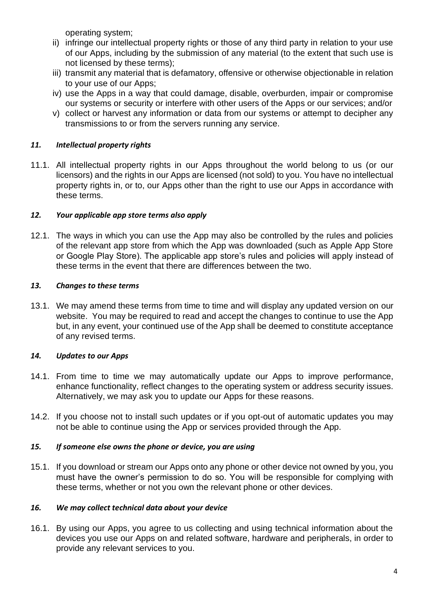operating system;

- ii) infringe our intellectual property rights or those of any third party in relation to your use of our Apps, including by the submission of any material (to the extent that such use is not licensed by these terms);
- iii) transmit any material that is defamatory, offensive or otherwise objectionable in relation to your use of our Apps;
- iv) use the Apps in a way that could damage, disable, overburden, impair or compromise our systems or security or interfere with other users of the Apps or our services; and/or
- v) collect or harvest any information or data from our systems or attempt to decipher any transmissions to or from the servers running any service.

## *11. Intellectual property rights*

11.1. All intellectual property rights in our Apps throughout the world belong to us (or our licensors) and the rights in our Apps are licensed (not sold) to you. You have no intellectual property rights in, or to, our Apps other than the right to use our Apps in accordance with these terms.

#### *12. Your applicable app store terms also apply*

12.1. The ways in which you can use the App may also be controlled by the rules and policies of the relevant app store from which the App was downloaded (such as Apple App Store or Google Play Store). The applicable app store's rules and policies will apply instead of these terms in the event that there are differences between the two.

#### *13. Changes to these terms*

13.1. We may amend these terms from time to time and will display any updated version on our website. You may be required to read and accept the changes to continue to use the App but, in any event, your continued use of the App shall be deemed to constitute acceptance of any revised terms.

#### *14. Updates to our Apps*

- 14.1. From time to time we may automatically update our Apps to improve performance, enhance functionality, reflect changes to the operating system or address security issues. Alternatively, we may ask you to update our Apps for these reasons.
- 14.2. If you choose not to install such updates or if you opt-out of automatic updates you may not be able to continue using the App or services provided through the App.

#### *15. If someone else owns the phone or device, you are using*

15.1. If you download or stream our Apps onto any phone or other device not owned by you, you must have the owner's permission to do so. You will be responsible for complying with these terms, whether or not you own the relevant phone or other devices.

#### *16. We may collect technical data about your device*

16.1. By using our Apps, you agree to us collecting and using technical information about the devices you use our Apps on and related software, hardware and peripherals, in order to provide any relevant services to you.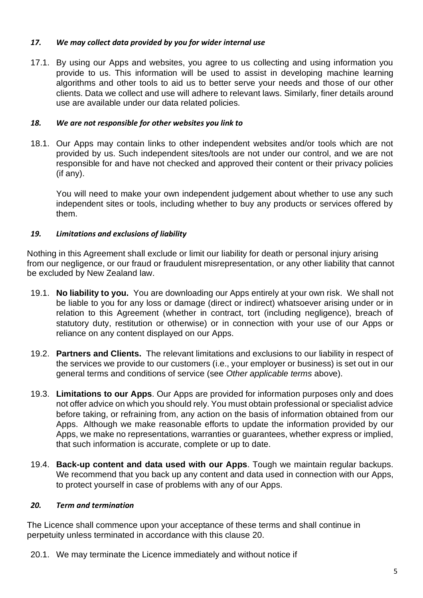## *17. We may collect data provided by you for wider internal use*

17.1. By using our Apps and websites, you agree to us collecting and using information you provide to us. This information will be used to assist in developing machine learning algorithms and other tools to aid us to better serve your needs and those of our other clients. Data we collect and use will adhere to relevant laws. Similarly, finer details around use are available under our data related policies.

## *18. We are not responsible for other websites you link to*

18.1. Our Apps may contain links to other independent websites and/or tools which are not provided by us. Such independent sites/tools are not under our control, and we are not responsible for and have not checked and approved their content or their privacy policies (if any).

You will need to make your own independent judgement about whether to use any such independent sites or tools, including whether to buy any products or services offered by them.

## *19. Limitations and exclusions of liability*

Nothing in this Agreement shall exclude or limit our liability for death or personal injury arising from our negligence, or our fraud or fraudulent misrepresentation, or any other liability that cannot be excluded by New Zealand law.

- 19.1. **No liability to you.** You are downloading our Apps entirely at your own risk. We shall not be liable to you for any loss or damage (direct or indirect) whatsoever arising under or in relation to this Agreement (whether in contract, tort (including negligence), breach of statutory duty, restitution or otherwise) or in connection with your use of our Apps or reliance on any content displayed on our Apps.
- 19.2. **Partners and Clients.** The relevant limitations and exclusions to our liability in respect of the services we provide to our customers (i.e., your employer or business) is set out in our general terms and conditions of service (see *Other applicable terms* above).
- 19.3. **Limitations to our Apps**. Our Apps are provided for information purposes only and does not offer advice on which you should rely. You must obtain professional or specialist advice before taking, or refraining from, any action on the basis of information obtained from our Apps. Although we make reasonable efforts to update the information provided by our Apps, we make no representations, warranties or guarantees, whether express or implied, that such information is accurate, complete or up to date.
- 19.4. **Back-up content and data used with our Apps**. Tough we maintain regular backups. We recommend that you back up any content and data used in connection with our Apps, to protect yourself in case of problems with any of our Apps.

## *20. Term and termination*

The Licence shall commence upon your acceptance of these terms and shall continue in perpetuity unless terminated in accordance with this clause 20.

20.1. We may terminate the Licence immediately and without notice if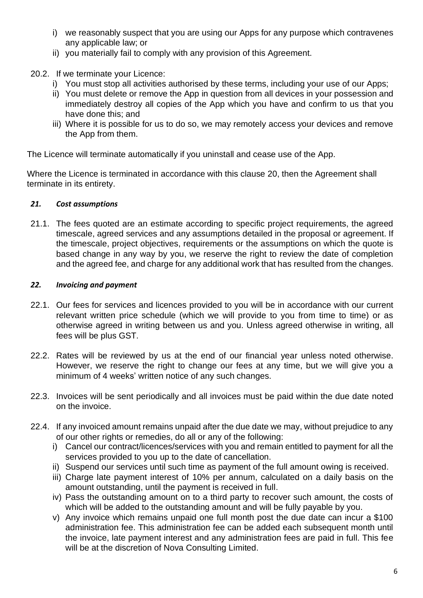- i) we reasonably suspect that you are using our Apps for any purpose which contravenes any applicable law; or
- ii) you materially fail to comply with any provision of this Agreement.
- 20.2. If we terminate your Licence:
	- i) You must stop all activities authorised by these terms, including your use of our Apps;
	- ii) You must delete or remove the App in question from all devices in your possession and immediately destroy all copies of the App which you have and confirm to us that you have done this; and
	- iii) Where it is possible for us to do so, we may remotely access your devices and remove the App from them.

The Licence will terminate automatically if you uninstall and cease use of the App.

Where the Licence is terminated in accordance with this clause 20, then the Agreement shall terminate in its entirety.

## *21. Cost assumptions*

21.1. The fees quoted are an estimate according to specific project requirements, the agreed timescale, agreed services and any assumptions detailed in the proposal or agreement. If the timescale, project objectives, requirements or the assumptions on which the quote is based change in any way by you, we reserve the right to review the date of completion and the agreed fee, and charge for any additional work that has resulted from the changes.

## *22. Invoicing and payment*

- 22.1. Our fees for services and licences provided to you will be in accordance with our current relevant written price schedule (which we will provide to you from time to time) or as otherwise agreed in writing between us and you. Unless agreed otherwise in writing, all fees will be plus GST.
- 22.2. Rates will be reviewed by us at the end of our financial year unless noted otherwise. However, we reserve the right to change our fees at any time, but we will give you a minimum of 4 weeks' written notice of any such changes.
- 22.3. Invoices will be sent periodically and all invoices must be paid within the due date noted on the invoice.
- 22.4. If any invoiced amount remains unpaid after the due date we may, without prejudice to any of our other rights or remedies, do all or any of the following:
	- i) Cancel our contract/licences/services with you and remain entitled to payment for all the services provided to you up to the date of cancellation.
	- ii) Suspend our services until such time as payment of the full amount owing is received.
	- iii) Charge late payment interest of 10% per annum, calculated on a daily basis on the amount outstanding, until the payment is received in full.
	- iv) Pass the outstanding amount on to a third party to recover such amount, the costs of which will be added to the outstanding amount and will be fully payable by you.
	- v) Any invoice which remains unpaid one full month post the due date can incur a \$100 administration fee. This administration fee can be added each subsequent month until the invoice, late payment interest and any administration fees are paid in full. This fee will be at the discretion of Nova Consulting Limited.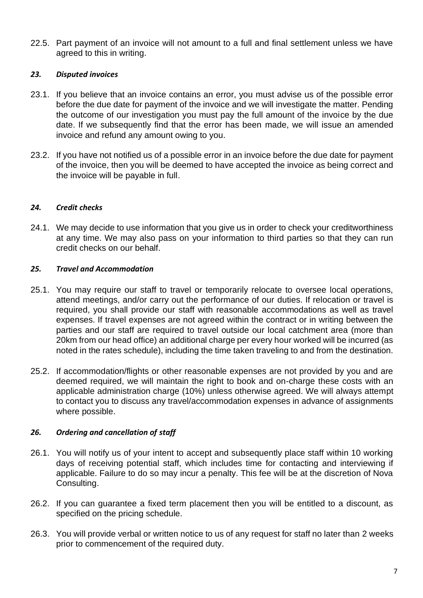22.5. Part payment of an invoice will not amount to a full and final settlement unless we have agreed to this in writing.

#### *23. Disputed invoices*

- 23.1. If you believe that an invoice contains an error, you must advise us of the possible error before the due date for payment of the invoice and we will investigate the matter. Pending the outcome of our investigation you must pay the full amount of the invoice by the due date. If we subsequently find that the error has been made, we will issue an amended invoice and refund any amount owing to you.
- 23.2. If you have not notified us of a possible error in an invoice before the due date for payment of the invoice, then you will be deemed to have accepted the invoice as being correct and the invoice will be payable in full.

## *24. Credit checks*

24.1. We may decide to use information that you give us in order to check your creditworthiness at any time. We may also pass on your information to third parties so that they can run credit checks on our behalf.

## *25. Travel and Accommodation*

- 25.1. You may require our staff to travel or temporarily relocate to oversee local operations, attend meetings, and/or carry out the performance of our duties. If relocation or travel is required, you shall provide our staff with reasonable accommodations as well as travel expenses. If travel expenses are not agreed within the contract or in writing between the parties and our staff are required to travel outside our local catchment area (more than 20km from our head office) an additional charge per every hour worked will be incurred (as noted in the rates schedule), including the time taken traveling to and from the destination.
- 25.2. If accommodation/flights or other reasonable expenses are not provided by you and are deemed required, we will maintain the right to book and on-charge these costs with an applicable administration charge (10%) unless otherwise agreed. We will always attempt to contact you to discuss any travel/accommodation expenses in advance of assignments where possible.

## *26. Ordering and cancellation of staff*

- 26.1. You will notify us of your intent to accept and subsequently place staff within 10 working days of receiving potential staff, which includes time for contacting and interviewing if applicable. Failure to do so may incur a penalty. This fee will be at the discretion of Nova Consulting.
- 26.2. If you can guarantee a fixed term placement then you will be entitled to a discount, as specified on the pricing schedule.
- 26.3. You will provide verbal or written notice to us of any request for staff no later than 2 weeks prior to commencement of the required duty.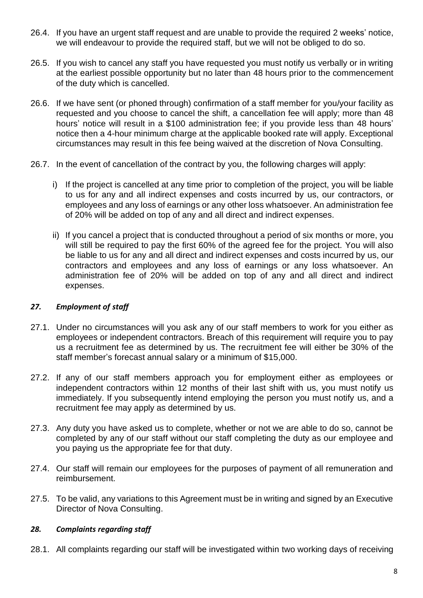- 26.4. If you have an urgent staff request and are unable to provide the required 2 weeks' notice, we will endeavour to provide the required staff, but we will not be obliged to do so.
- 26.5. If you wish to cancel any staff you have requested you must notify us verbally or in writing at the earliest possible opportunity but no later than 48 hours prior to the commencement of the duty which is cancelled.
- 26.6. If we have sent (or phoned through) confirmation of a staff member for you/your facility as requested and you choose to cancel the shift, a cancellation fee will apply; more than 48 hours' notice will result in a \$100 administration fee; if you provide less than 48 hours' notice then a 4-hour minimum charge at the applicable booked rate will apply. Exceptional circumstances may result in this fee being waived at the discretion of Nova Consulting.
- 26.7. In the event of cancellation of the contract by you, the following charges will apply:
	- i) If the project is cancelled at any time prior to completion of the project, you will be liable to us for any and all indirect expenses and costs incurred by us, our contractors, or employees and any loss of earnings or any other loss whatsoever. An administration fee of 20% will be added on top of any and all direct and indirect expenses.
	- ii) If you cancel a project that is conducted throughout a period of six months or more, you will still be required to pay the first 60% of the agreed fee for the project. You will also be liable to us for any and all direct and indirect expenses and costs incurred by us, our contractors and employees and any loss of earnings or any loss whatsoever. An administration fee of 20% will be added on top of any and all direct and indirect expenses.

#### *27. Employment of staff*

- 27.1. Under no circumstances will you ask any of our staff members to work for you either as employees or independent contractors. Breach of this requirement will require you to pay us a recruitment fee as determined by us. The recruitment fee will either be 30% of the staff member's forecast annual salary or a minimum of \$15,000.
- 27.2. If any of our staff members approach you for employment either as employees or independent contractors within 12 months of their last shift with us, you must notify us immediately. If you subsequently intend employing the person you must notify us, and a recruitment fee may apply as determined by us.
- 27.3. Any duty you have asked us to complete, whether or not we are able to do so, cannot be completed by any of our staff without our staff completing the duty as our employee and you paying us the appropriate fee for that duty.
- 27.4. Our staff will remain our employees for the purposes of payment of all remuneration and reimbursement.
- 27.5. To be valid, any variations to this Agreement must be in writing and signed by an Executive Director of Nova Consulting.

#### *28. Complaints regarding staff*

28.1. All complaints regarding our staff will be investigated within two working days of receiving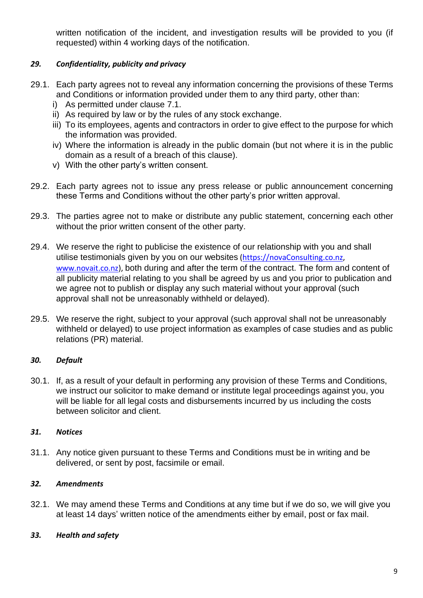written notification of the incident, and investigation results will be provided to you (if requested) within 4 working days of the notification.

## *29. Confidentiality, publicity and privacy*

- 29.1. Each party agrees not to reveal any information concerning the provisions of these Terms and Conditions or information provided under them to any third party, other than:
	- i) As permitted under clause 7.1.
	- ii) As required by law or by the rules of any stock exchange.
	- iii) To its employees, agents and contractors in order to give effect to the purpose for which the information was provided.
	- iv) Where the information is already in the public domain (but not where it is in the public domain as a result of a breach of this clause).
	- v) With the other party's written consent.
- 29.2. Each party agrees not to issue any press release or public announcement concerning these Terms and Conditions without the other party's prior written approval.
- 29.3. The parties agree not to make or distribute any public statement, concerning each other without the prior written consent of the other party.
- 29.4. We reserve the right to publicise the existence of our relationship with you and shall utilise testimonials given by you on our websites [\(https://novaConsulting.co.nz,](https://novahealth.co.nz/) [www.novait.co.nz\)](http://www.novait.co.nz/), both during and after the term of the contract. The form and content of all publicity material relating to you shall be agreed by us and you prior to publication and we agree not to publish or display any such material without your approval (such approval shall not be unreasonably withheld or delayed).
- 29.5. We reserve the right, subject to your approval (such approval shall not be unreasonably withheld or delayed) to use project information as examples of case studies and as public relations (PR) material.

## *30. Default*

30.1. If, as a result of your default in performing any provision of these Terms and Conditions, we instruct our solicitor to make demand or institute legal proceedings against you, you will be liable for all legal costs and disbursements incurred by us including the costs between solicitor and client.

## *31. Notices*

31.1. Any notice given pursuant to these Terms and Conditions must be in writing and be delivered, or sent by post, facsimile or email.

## *32. Amendments*

32.1. We may amend these Terms and Conditions at any time but if we do so, we will give you at least 14 days' written notice of the amendments either by email, post or fax mail.

## *33. Health and safety*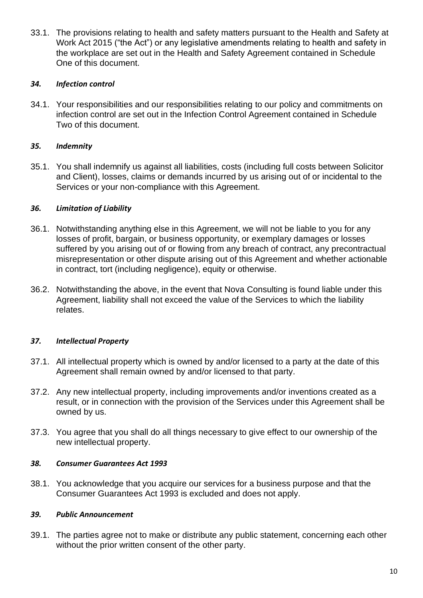33.1. The provisions relating to health and safety matters pursuant to the Health and Safety at Work Act 2015 ("the Act") or any legislative amendments relating to health and safety in the workplace are set out in the Health and Safety Agreement contained in Schedule One of this document.

## *34. Infection control*

34.1. Your responsibilities and our responsibilities relating to our policy and commitments on infection control are set out in the Infection Control Agreement contained in Schedule Two of this document.

## *35. Indemnity*

35.1. You shall indemnify us against all liabilities, costs (including full costs between Solicitor and Client), losses, claims or demands incurred by us arising out of or incidental to the Services or your non-compliance with this Agreement.

## *36. Limitation of Liability*

- 36.1. Notwithstanding anything else in this Agreement, we will not be liable to you for any losses of profit, bargain, or business opportunity, or exemplary damages or losses suffered by you arising out of or flowing from any breach of contract, any precontractual misrepresentation or other dispute arising out of this Agreement and whether actionable in contract, tort (including negligence), equity or otherwise.
- 36.2. Notwithstanding the above, in the event that Nova Consulting is found liable under this Agreement, liability shall not exceed the value of the Services to which the liability relates.

## *37. Intellectual Property*

- 37.1. All intellectual property which is owned by and/or licensed to a party at the date of this Agreement shall remain owned by and/or licensed to that party.
- 37.2. Any new intellectual property, including improvements and/or inventions created as a result, or in connection with the provision of the Services under this Agreement shall be owned by us.
- 37.3. You agree that you shall do all things necessary to give effect to our ownership of the new intellectual property.

#### *38. Consumer Guarantees Act 1993*

38.1. You acknowledge that you acquire our services for a business purpose and that the Consumer Guarantees Act 1993 is excluded and does not apply.

#### *39. Public Announcement*

39.1. The parties agree not to make or distribute any public statement, concerning each other without the prior written consent of the other party.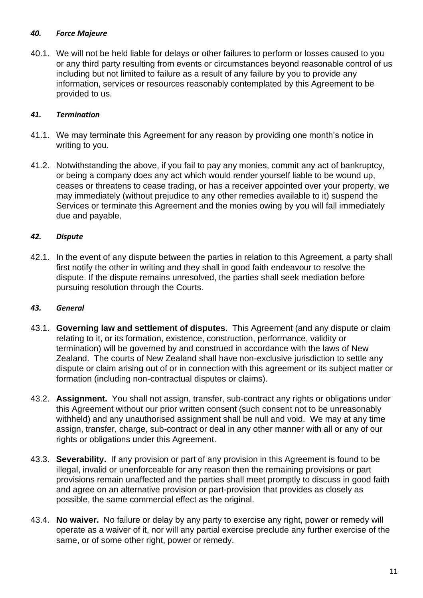## *40. Force Majeure*

40.1. We will not be held liable for delays or other failures to perform or losses caused to you or any third party resulting from events or circumstances beyond reasonable control of us including but not limited to failure as a result of any failure by you to provide any information, services or resources reasonably contemplated by this Agreement to be provided to us.

## *41. Termination*

- 41.1. We may terminate this Agreement for any reason by providing one month's notice in writing to you.
- 41.2. Notwithstanding the above, if you fail to pay any monies, commit any act of bankruptcy, or being a company does any act which would render yourself liable to be wound up, ceases or threatens to cease trading, or has a receiver appointed over your property, we may immediately (without prejudice to any other remedies available to it) suspend the Services or terminate this Agreement and the monies owing by you will fall immediately due and payable.

## *42. Dispute*

42.1. In the event of any dispute between the parties in relation to this Agreement, a party shall first notify the other in writing and they shall in good faith endeavour to resolve the dispute. If the dispute remains unresolved, the parties shall seek mediation before pursuing resolution through the Courts.

## *43. General*

- 43.1. **Governing law and settlement of disputes.** This Agreement (and any dispute or claim relating to it, or its formation, existence, construction, performance, validity or termination) will be governed by and construed in accordance with the laws of New Zealand. The courts of New Zealand shall have non-exclusive jurisdiction to settle any dispute or claim arising out of or in connection with this agreement or its subject matter or formation (including non-contractual disputes or claims).
- 43.2. **Assignment.** You shall not assign, transfer, sub-contract any rights or obligations under this Agreement without our prior written consent (such consent not to be unreasonably withheld) and any unauthorised assignment shall be null and void. We may at any time assign, transfer, charge, sub-contract or deal in any other manner with all or any of our rights or obligations under this Agreement.
- 43.3. **Severability.** If any provision or part of any provision in this Agreement is found to be illegal, invalid or unenforceable for any reason then the remaining provisions or part provisions remain unaffected and the parties shall meet promptly to discuss in good faith and agree on an alternative provision or part-provision that provides as closely as possible, the same commercial effect as the original.
- 43.4. **No waiver.** No failure or delay by any party to exercise any right, power or remedy will operate as a waiver of it, nor will any partial exercise preclude any further exercise of the same, or of some other right, power or remedy.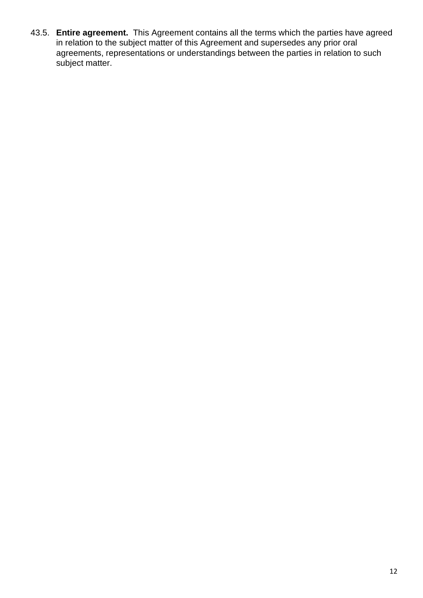43.5. **Entire agreement.** This Agreement contains all the terms which the parties have agreed in relation to the subject matter of this Agreement and supersedes any prior oral agreements, representations or understandings between the parties in relation to such subject matter.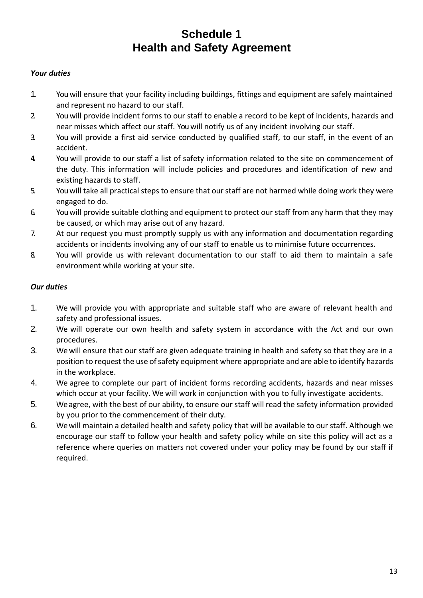## **Schedule 1 Health and Safety Agreement**

#### *Your duties*

- 1. You will ensure that your facility including buildings, fittings and equipment are safely maintained and represent no hazard to our staff.
- 2. You will provide incident forms to our staff to enable a record to be kept of incidents, hazards and near misses which affect our staff. You will notify us of any incident involving our staff.
- 3. You will provide a first aid service conducted by qualified staff, to our staff, in the event of an accident.
- 4. You will provide to our staff a list of safety information related to the site on commencement of the duty. This information will include policies and procedures and identification of new and existing hazards to staff.
- 5. You will take all practical steps to ensure that our staff are not harmed while doing work they were engaged to do.
- 6. You will provide suitable clothing and equipment to protect our staff from any harm that they may be caused, or which may arise out of any hazard.
- 7. At our request you must promptly supply us with any information and documentation regarding accidents or incidents involving any of our staff to enable us to minimise future occurrences.
- 8. You will provide us with relevant documentation to our staff to aid them to maintain a safe environment while working at your site.

#### *Our duties*

- 1. We will provide you with appropriate and suitable staff who are aware of relevant health and safety and professional issues.
- 2. We will operate our own health and safety system in accordance with the Act and our own procedures.
- 3. We will ensure that our staff are given adequate training in health and safety so that they are in a position to request the use of safety equipment where appropriate and are able to identify hazards in the workplace.
- 4. We agree to complete our part of incident forms recording accidents, hazards and near misses which occur at your facility. We will work in conjunction with you to fully investigate accidents.
- 5. We agree, with the best of our ability, to ensure our staff will read the safety information provided by you prior to the commencement of their duty.
- 6. We will maintain a detailed health and safety policy that will be available to our staff. Although we encourage our staff to follow your health and safety policy while on site this policy will act as a reference where queries on matters not covered under your policy may be found by our staff if required.